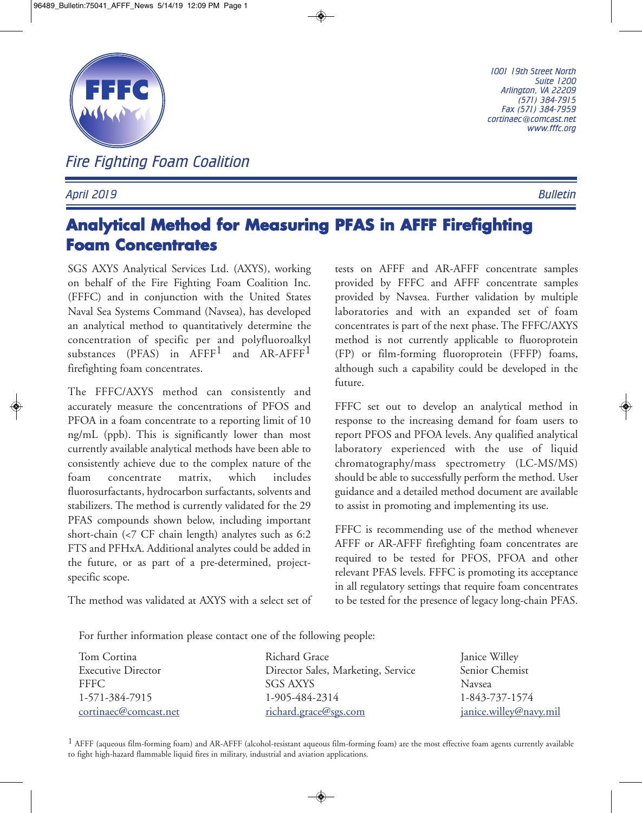

*Fire Fighting Foam Coalition*

## *April 2019 Bulletin*

*1001 19th Street North Suite 1200 Arlington, VA 22209 (571) 384-7915 Fax (571) 384-7959 cortinaec@comcast.net www.fffc.org*

## **Analytical Method for Measuring PFAS in AFFF Firefighting Foam Concentrates**

SGS AXYS Analytical Services Ltd. (AXYS), working on behalf of the Fire Fighting Foam Coalition Inc. (FFFC) and in conjunction with the United States Naval Sea Systems Command (Navsea), has developed an analytical method to quantitatively determine the concentration of specific per and polyfluoroalkyl substances (PFAS) in AFFF<sup>1</sup> and AR-AFFF<sup>1</sup> firefighting foam concentrates.

The FFFC/AXYS method can consistently and accurately measure the concentrations of PFOS and PFOA in a foam concentrate to a reporting limit of 10 ng/mL (ppb). This is significantly lower than most currently available analytical methods have been able to consistently achieve due to the complex nature of the foam concentrate matrix, which includes fluorosurfactants, hydrocarbon surfactants, solvents and stabilizers. The method is currently validated for the 29 PFAS compounds shown below, including important short-chain (<7 CF chain length) analytes such as 6:2 FTS and PFHxA. Additional analytes could be added in the future, or as part of a pre-determined, projectspecific scope.

The method was validated at AXYS with a select set of

tests on AFFF and AR-AFFF concentrate samples provided by FFFC and AFFF concentrate samples provided by Navsea. Further validation by multiple laboratories and with an expanded set of foam concentrates is part of the next phase. The FFFC/AXYS method is not currently applicable to fluoroprotein (FP) or film-forming fluoroprotein (FFFP) foams, although such a capability could be developed in the future.

FFFC set out to develop an analytical method in response to the increasing demand for foam users to report PFOS and PFOA levels. Any qualified analytical laboratory experienced with the use of liquid chromatography/mass spectrometry (LC-MS/MS) should be able to successfully perform the method. User guidance and a detailed method document are available to assist in promoting and implementing its use.

FFFC is recommending use of the method whenever AFFF or AR-AFFF firefighting foam concentrates are required to be tested for PFOS, PFOA and other relevant PFAS levels. FFFC is promoting its acceptance in all regulatory settings that require foam concentrates to be tested for the presence of legacy long-chain PFAS.

For further information please contact one of the following people:

| Tom Cortina               | Richard Grace                      | Janice Willey          |
|---------------------------|------------------------------------|------------------------|
| <b>Executive Director</b> | Director Sales, Marketing, Service | Senior Chemist         |
| <b>FFFC</b>               | SGS AXYS                           | <b>Navsea</b>          |
| 1-571-384-7915            | 1-905-484-2314                     | 1-843-737-1574         |
| cortinaec@comcast.net     | richard.grace@sgs.com              | janice.willey@navy.mil |

 $1$  AFFF (aqueous film-forming foam) and AR-AFFF (alcohol-resistant aqueous film-forming foam) are the most effective foam agents currently available to fight high-hazard flammable liquid fires in military, industrial and aviation applications.